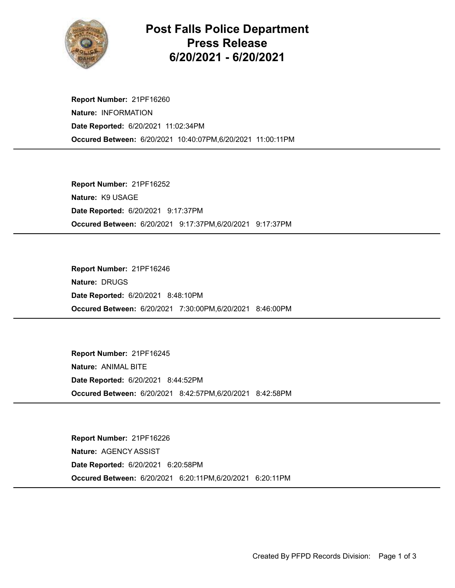

## Post Falls Police Department Press Release 6/20/2021 - 6/20/2021

Occured Between: 6/20/2021 10:40:07PM,6/20/2021 11:00:11PM Report Number: 21PF16260 Nature: INFORMATION Date Reported: 6/20/2021 11:02:34PM

Occured Between: 6/20/2021 9:17:37PM,6/20/2021 9:17:37PM Report Number: 21PF16252 Nature: K9 USAGE Date Reported: 6/20/2021 9:17:37PM

Occured Between: 6/20/2021 7:30:00PM,6/20/2021 8:46:00PM Report Number: 21PF16246 Nature: DRUGS Date Reported: 6/20/2021 8:48:10PM

Occured Between: 6/20/2021 8:42:57PM,6/20/2021 8:42:58PM Report Number: 21PF16245 Nature: ANIMAL BITE Date Reported: 6/20/2021 8:44:52PM

Occured Between: 6/20/2021 6:20:11PM,6/20/2021 6:20:11PM Report Number: 21PF16226 Nature: AGENCY ASSIST Date Reported: 6/20/2021 6:20:58PM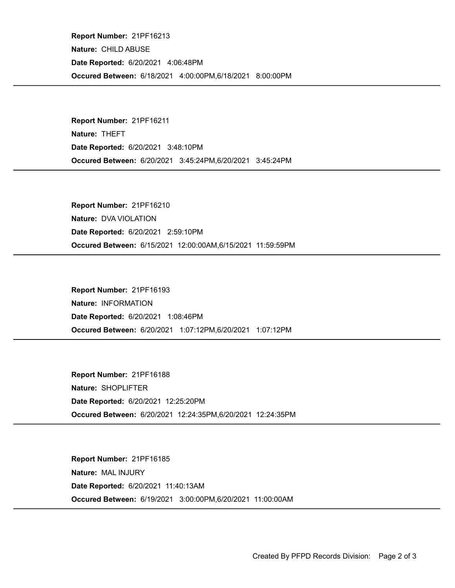Occured Between: 6/18/2021 4:00:00PM,6/18/2021 8:00:00PM Report Number: 21PF16213 Nature: CHILD ABUSE Date Reported: 6/20/2021 4:06:48PM

Occured Between: 6/20/2021 3:45:24PM,6/20/2021 3:45:24PM Report Number: 21PF16211 Nature: THEFT Date Reported: 6/20/2021 3:48:10PM

Occured Between: 6/15/2021 12:00:00AM,6/15/2021 11:59:59PM Report Number: 21PF16210 Nature: DVA VIOLATION Date Reported: 6/20/2021 2:59:10PM

Occured Between: 6/20/2021 1:07:12PM,6/20/2021 1:07:12PM Report Number: 21PF16193 Nature: INFORMATION Date Reported: 6/20/2021 1:08:46PM

Occured Between: 6/20/2021 12:24:35PM,6/20/2021 12:24:35PM Report Number: 21PF16188 Nature: SHOPLIFTER Date Reported: 6/20/2021 12:25:20PM

Occured Between: 6/19/2021 3:00:00PM,6/20/2021 11:00:00AM Report Number: 21PF16185 Nature: MAL INJURY Date Reported: 6/20/2021 11:40:13AM